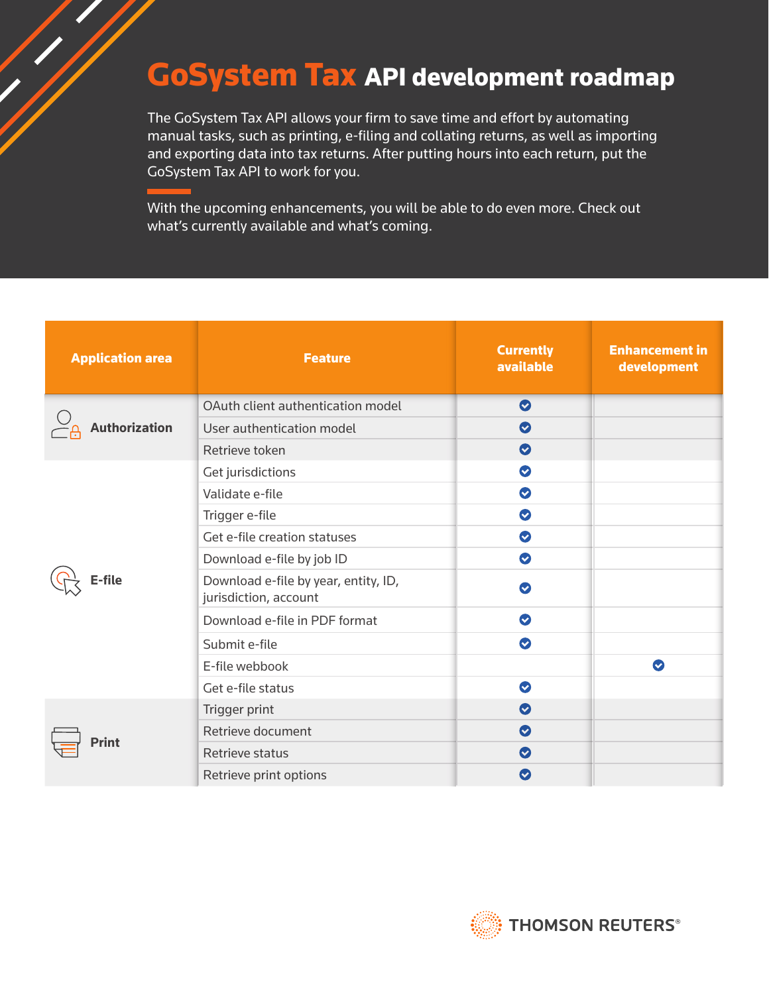## GoSystem Tax API development roadmap

The GoSystem Tax API allows your firm to save time and effort by automating manual tasks, such as printing, e-filing and collating returns, as well as importing and exporting data into tax returns. After putting hours into each return, put the GoSystem Tax API to work for you.

With the upcoming enhancements, you will be able to do even more. Check out what's currently available and what's coming.

| <b>Application area</b> | <b>Feature</b>                                                | <b>Currently</b><br>available | <b>Enhancement in</b><br>development |
|-------------------------|---------------------------------------------------------------|-------------------------------|--------------------------------------|
| <b>Authorization</b>    | OAuth client authentication model                             | $\bullet$                     |                                      |
|                         | User authentication model                                     | $\bullet$                     |                                      |
|                         | Retrieve token                                                | $\bullet$                     |                                      |
| -file                   | Get jurisdictions                                             | $\bullet$                     |                                      |
|                         | Validate e-file                                               | $\bullet$                     |                                      |
|                         | Trigger e-file                                                | $\bullet$                     |                                      |
|                         | Get e-file creation statuses                                  | $\bullet$                     |                                      |
|                         | Download e-file by job ID                                     | $\bullet$                     |                                      |
|                         | Download e-file by year, entity, ID,<br>jurisdiction, account | $\bullet$                     |                                      |
|                         | Download e-file in PDF format                                 | $\bullet$                     |                                      |
|                         | Submit e-file                                                 | $\bullet$                     |                                      |
|                         | E-file webbook                                                |                               | $\bullet$                            |
|                         | Get e-file status                                             | $\bullet$                     |                                      |
| <b>Print</b>            | Trigger print                                                 | $\bullet$                     |                                      |
|                         | Retrieve document                                             | $\bullet$                     |                                      |
|                         | Retrieve status                                               | $\bullet$                     |                                      |
|                         | Retrieve print options                                        | $\bullet$                     |                                      |